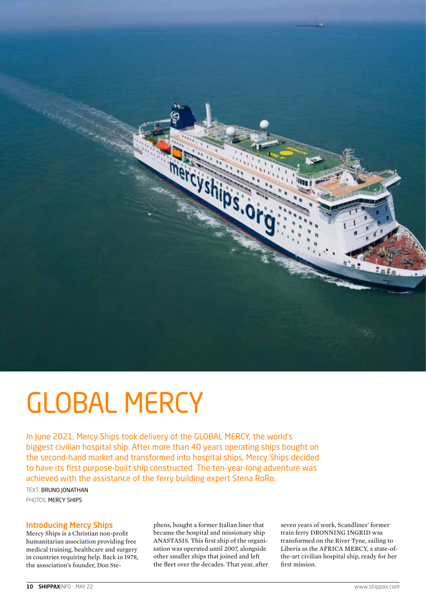

# GLOBAL MERCY

In June 2021, Mercy Ships took delivery of the GLOBAL MERCY, the world's biggest civilian hospital ship. After more than 40 years operating ships bought on the second-hand market and transformed into hospital ships, Mercy Ships decided to have its first purpose-built ship constructed. The ten-year-long adventure was achieved with the assistance of the ferry building expert Stena RoRo.

TEXT: BRUNO JONATHAN PHOTOS: MERCY SHIPS

### Introducing Mercy Ships

Mercy Ships is a Christian non-profit humanitarian association providing free medical training, healthcare and surgery in countries requiring help. Back in 1978, the association's founder, Don Stephens, bought a former Italian liner that became the hospital and missionary ship ANASTASIS. This first ship of the organisation was operated until 2007, alongside other smaller ships that joined and left the fleet over the decades. That year, after seven years of work, Scandlines' former train ferry DRONNING INGRID was transformed on the River Tyne, sailing to Liberia as the AFRICA MERCY, a state-ofthe-art civilian hospital ship, ready for her first mission.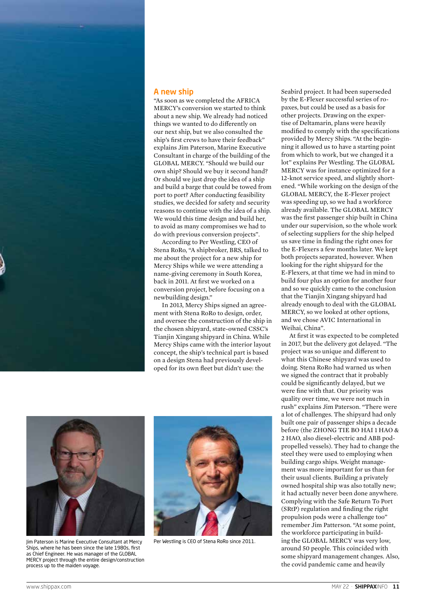

## A new ship

"As soon as we completed the AFRICA MERCY's conversion we started to think about a new ship. We already had noticed things we wanted to do differently on our next ship, but we also consulted the ship's first crews to have their feedback" explains Jim Paterson, Marine Executive Consultant in charge of the building of the GLOBAL MERCY. "Should we build our own ship? Should we buy it second hand? Or should we just drop the idea of a ship and build a barge that could be towed from port to port? After conducting feasibility studies, we decided for safety and security reasons to continue with the idea of a ship. We would this time design and build her, to avoid as many compromises we had to do with previous conversion projects".

According to Per Westling, CEO of Stena RoRo, "A shipbroker, BRS, talked to me about the project for a new ship for Mercy Ships while we were attending a name-giving ceremony in South Korea, back in 2011. At first we worked on a conversion project, before focusing on a newbuilding design."

In 2013, Mercy Ships signed an agreement with Stena RoRo to design, order, and oversee the construction of the ship in the chosen shipyard, state-owned CSSC's Tianjin Xingang shipyard in China. While Mercy Ships came with the interior layout concept, the ship's technical part is based on a design Stena had previously developed for its own fleet but didn't use: the

Seabird project. It had been superseded by the E-Flexer successful series of ropaxes, but could be used as a basis for other projects. Drawing on the expertise of Deltamarin, plans were heavily modified to comply with the specifications provided by Mercy Ships. "At the beginning it allowed us to have a starting point from which to work, but we changed it a lot" explains Per Westling. The GLOBAL MERCY was for instance optimized for a 12-knot service speed, and slightly shortened. "While working on the design of the GLOBAL MERCY, the E-Flexer project was speeding up, so we had a workforce already available. The GLOBAL MERCY was the first passenger ship built in China under our supervision, so the whole work of selecting suppliers for the ship helped us save time in finding the right ones for the E-Flexers a few months later. We kept both projects separated, however. When looking for the right shipyard for the E-Flexers, at that time we had in mind to build four plus an option for another four and so we quickly came to the conclusion that the Tianjin Xingang shipyard had already enough to deal with the GLOBAL MERCY, so we looked at other options. and we chose AVIC International in Weihai, China".

At first it was expected to be completed in 2017, but the delivery got delayed. "The project was so unique and different to what this Chinese shipyard was used to doing. Stena RoRo had warned us when we signed the contract that it probably could be significantly delayed, but we were fine with that. Our priority was quality over time, we were not much in rush" explains Jim Paterson. "There were a lot of challenges. The shipyard had only built one pair of passenger ships a decade before (the ZHONG TIE BO HAI 1 HAO & 2 HAO, also diesel-electric and ABB podpropelled vessels). They had to change the steel they were used to employing when building cargo ships. Weight management was more important for us than for their usual clients. Building a privately owned hospital ship was also totally new; it had actually never been done anywhere. Complying with the Safe Return To Port (SRtP) regulation and finding the right propulsion pods were a challenge too" remember Jim Patterson. "At some point, the workforce participating in building the GLOBAL MERCY was very low, around 50 people. This coincided with some shipyard management changes. Also, the covid pandemic came and heavily



Jim Paterson is Marine Executive Consultant at Mercy Ships, where he has been since the late 1980s, first as Chief Engineer. He was manager of the GLOBAL MERCY project through the entire design/construction process up to the maiden voyage.



Per Westling is CEO of Stena RoRo since 2011.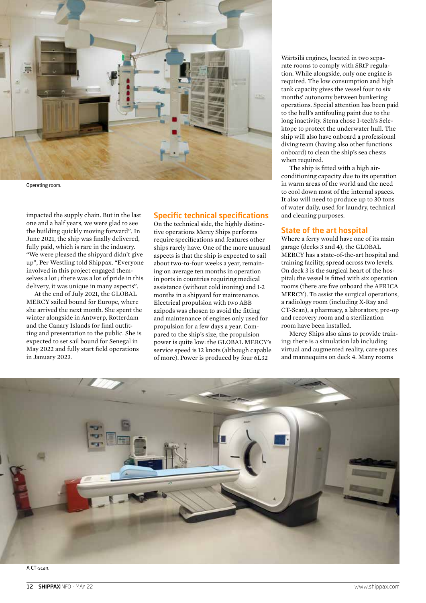

Operating room.

impacted the supply chain. But in the last one and a half years, we were glad to see the building quickly moving forward". In June 2021, the ship was finally delivered, fully paid, which is rare in the industry. "We were pleased the shipyard didn't give up", Per Westling told Shippax. "Everyone involved in this project engaged themselves a lot ; there was a lot of pride in this delivery, it was unique in many aspects".

At the end of July 2021, the GLOBAL MERCY sailed bound for Europe, where she arrived the next month. She spent the winter alongside in Antwerp, Rotterdam and the Canary Islands for final outfitting and presentation to the public. She is expected to set sail bound for Senegal in May 2022 and fully start field operations in January 2023.

#### Specific technical specifications

On the technical side, the highly distinctive operations Mercy Ships performs require specifications and features other ships rarely have. One of the more unusual aspects is that the ship is expected to sail about two-to-four weeks a year, remaining on average ten months in operation in ports in countries requiring medical assistance (without cold ironing) and 1-2 months in a shipyard for maintenance. Electrical propulsion with two ABB azipods was chosen to avoid the fitting and maintenance of engines only used for propulsion for a few days a year. Compared to the ship's size, the propulsion power is quite low: the GLOBAL MERCY's service speed is 12 knots (although capable of more). Power is produced by four 6L32

Wärtsilä engines, located in two separate rooms to comply with SRtP regulation. While alongside, only one engine is required. The low consumption and high tank capacity gives the vessel four to six months' autonomy between bunkering operations. Special attention has been paid to the hull's antifouling paint due to the long inactivity. Stena chose I-tech's Selektope to protect the underwater hull. The ship will also have onboard a professional diving team (having also other functions onboard) to clean the ship's sea chests when required.

The ship is fitted with a high airconditioning capacity due to its operation in warm areas of the world and the need to cool down most of the internal spaces. It also will need to produce up to 30 tons of water daily, used for laundry, technical and cleaning purposes.

#### State of the art hospital

Where a ferry would have one of its main garage (decks 3 and 4), the GLOBAL MERCY has a state-of-the-art hospital and training facility, spread across two levels. On deck 3 is the surgical heart of the hospital: the vessel is fitted with six operation rooms (there are five onboard the AFRICA MERCY). To assist the surgical operations, a radiology room (including X-Ray and CT-Scan), a pharmacy, a laboratory, pre-op and recovery room and a sterilization room have been installed.

Mercy Ships also aims to provide training: there is a simulation lab including virtual and augmented reality, care spaces and mannequins on deck 4. Many rooms

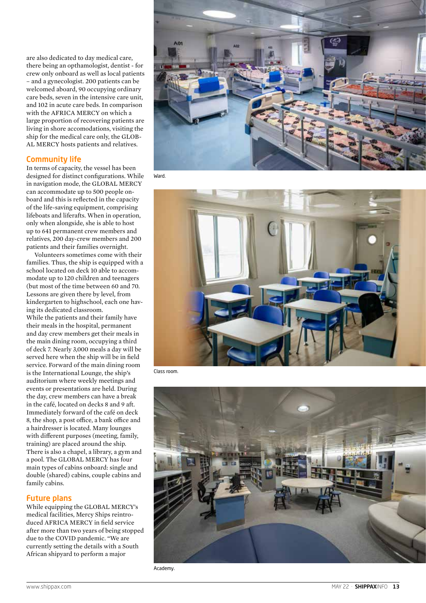are also dedicated to day medical care, there being an opthamologist, dentist - for crew only onboard as well as local patients – and a gynecologist. 200 patients can be welcomed aboard, 90 occupying ordinary care beds, seven in the intensive care unit, and 102 in acute care beds. In comparison with the AFRICA MERCY on which a large proportion of recovering patients are living in shore accomodations, visiting the ship for the medical care only, the GLOB - AL MERCY hosts patients and relatives.

## Community life

In terms of capacity, the vessel has been designed for distinct configurations. While in navigation mode, the GLOBAL MERCY can accommodate up to 500 people on board and this is reflected in the capacity of the life-saving equipment, comprising lifeboats and liferafts. When in operation, only when alongside, she is able to host up to 641 permanent crew members and relatives, 200 day-crew members and 200 patients and their families overnight.

Volunteers sometimes come with their families. Thus, the ship is equipped with a school located on deck 10 able to accom modate up to 120 children and teenagers (but most of the time between 60 and 70. Lessons are given there by level, from kindergarten to highschool, each one hav ing its dedicated classroom. While the patients and their family have their meals in the hospital, permanent and day crew members get their meals in the main dining room, occupying a third of deck 7. Nearly 3,000 meals a day will be served here when the ship will be in field service. Forward of the main dining room is the International Lounge, the ship's auditorium where weekly meetings and events or presentations are held. During the day, crew members can have a break in the café, located on decks 8 and 9 aft. Immediately forward of the café on deck 8, the shop, a post office, a bank office and a hairdresser is located. Many lounges with different purposes (meeting, family, training) are placed around the ship. There is also a chapel, a library, a gym and a pool. The GLOBAL MERCY has four main types of cabins onboard: single and double (shared) cabins, couple cabins and family cabins.

## Future plans

While equipping the GLOBAL MERCY's medical facilities, Mercy Ships reintro duced AFRICA MERCY in field service after more than two years of being stopped due to the COVID pandemic. "We are currently setting the details with a South African shipyard to perform a major



Ward.



Class room.



Academy.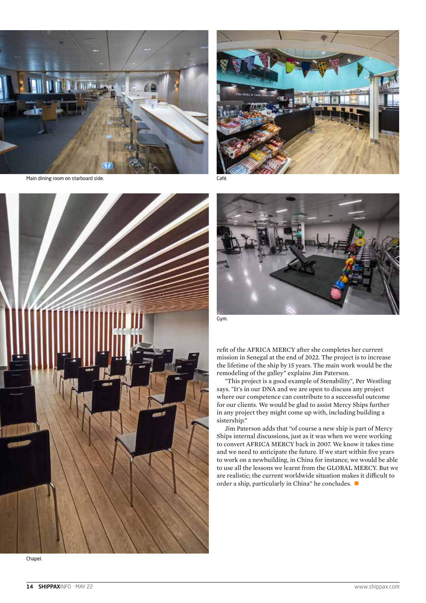

Main dining room on starboard side.



Café.





refit of the AFRICA MERCY after she completes her current mission in Senegal at the end of 2022. The project is to increase the lifetime of the ship by 15 years. The main work would be the remodeling of the galley" explains Jim Paterson.

"This project is a good example of Stenability", Per Westling says. "It's in our DNA and we are open to discuss any project where our competence can contribute to a successful outcome for our clients. We would be glad to assist Mercy Ships further in any project they might come up with, including building a sistership."

Jim Paterson adds that "of course a new ship is part of Mercy Ships internal discussions, just as it was when we were working to convert AFRICA MERCY back in 2007. We know it takes time and we need to anticipate the future. If we start within five years to work on a newbuilding, in China for instance, we would be able to use all the lessons we learnt from the GLOBAL MERCY. But we are realistic; the current worldwide situation makes it difficult to order a ship, particularly in China" he concludes.  $\blacksquare$ 

Chapel.